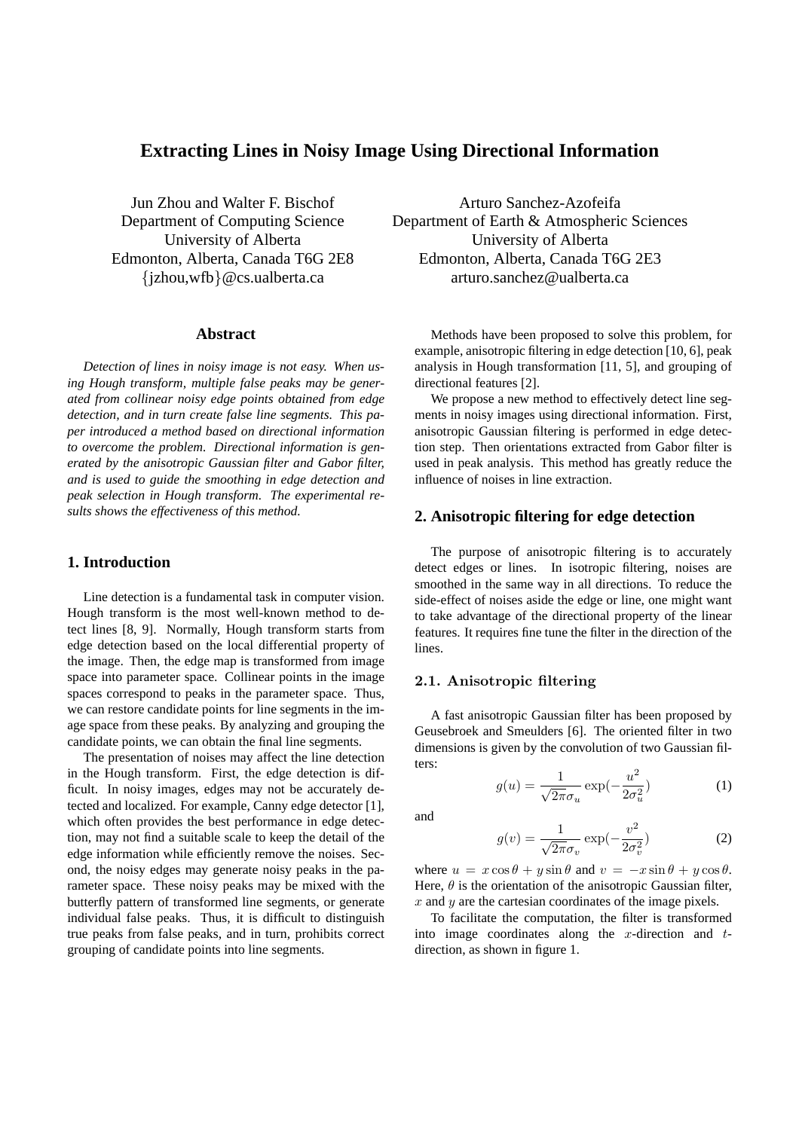# **Extracting Lines in Noisy Image Using Directional Information**

Jun Zhou and Walter F. Bischof Department of Computing Science University of Alberta Edmonton, Alberta, Canada T6G 2E8 {jzhou,wfb}@cs.ualberta.ca

## **Abstract**

*Detection of lines in noisy image is not easy. When using Hough transform, multiple false peaks may be generated from collinear noisy edge points obtained from edge detection, and in turn create false line segments. This paper introduced a method based on directional information to overcome the problem. Directional information is generated by the anisotropic Gaussian filter and Gabor filter, and is used to guide the smoothing in edge detection and peak selection in Hough transform. The experimental results shows the effectiveness of this method.*

## **1. Introduction**

Line detection is a fundamental task in computer vision. Hough transform is the most well-known method to detect lines [8, 9]. Normally, Hough transform starts from edge detection based on the local differential property of the image. Then, the edge map is transformed from image space into parameter space. Collinear points in the image spaces correspond to peaks in the parameter space. Thus, we can restore candidate points for line segments in the image space from these peaks. By analyzing and grouping the candidate points, we can obtain the final line segments.

The presentation of noises may affect the line detection in the Hough transform. First, the edge detection is difficult. In noisy images, edges may not be accurately detected and localized. For example, Canny edge detector [1], which often provides the best performance in edge detection, may not find a suitable scale to keep the detail of the edge information while efficiently remove the noises. Second, the noisy edges may generate noisy peaks in the parameter space. These noisy peaks may be mixed with the butterfly pattern of transformed line segments, or generate individual false peaks. Thus, it is difficult to distinguish true peaks from false peaks, and in turn, prohibits correct grouping of candidate points into line segments.

Arturo Sanchez-Azofeifa Department of Earth & Atmospheric Sciences University of Alberta Edmonton, Alberta, Canada T6G 2E3 arturo.sanchez@ualberta.ca

Methods have been proposed to solve this problem, for example, anisotropic filtering in edge detection [10, 6], peak analysis in Hough transformation [11, 5], and grouping of directional features [2].

We propose a new method to effectively detect line segments in noisy images using directional information. First, anisotropic Gaussian filtering is performed in edge detection step. Then orientations extracted from Gabor filter is used in peak analysis. This method has greatly reduce the influence of noises in line extraction.

### **2. Anisotropic filtering for edge detection**

The purpose of anisotropic filtering is to accurately detect edges or lines. In isotropic filtering, noises are smoothed in the same way in all directions. To reduce the side-effect of noises aside the edge or line, one might want to take advantage of the directional property of the linear features. It requires fine tune the filter in the direction of the lines.

## 2.1. Anisotropic filtering

A fast anisotropic Gaussian filter has been proposed by Geusebroek and Smeulders [6]. The oriented filter in two dimensions is given by the convolution of two Gaussian filters:

$$
g(u) = \frac{1}{\sqrt{2\pi}\sigma_u} \exp(-\frac{u^2}{2\sigma_u^2})
$$
 (1)

and

$$
g(v) = \frac{1}{\sqrt{2\pi}\sigma_v} \exp(-\frac{v^2}{2\sigma_v^2})
$$
 (2)

where  $u = x \cos \theta + y \sin \theta$  and  $v = -x \sin \theta + y \cos \theta$ . Here,  $\theta$  is the orientation of the anisotropic Gaussian filter,  $x$  and  $y$  are the cartesian coordinates of the image pixels.

To facilitate the computation, the filter is transformed into image coordinates along the x-direction and  $t$ direction, as shown in figure 1.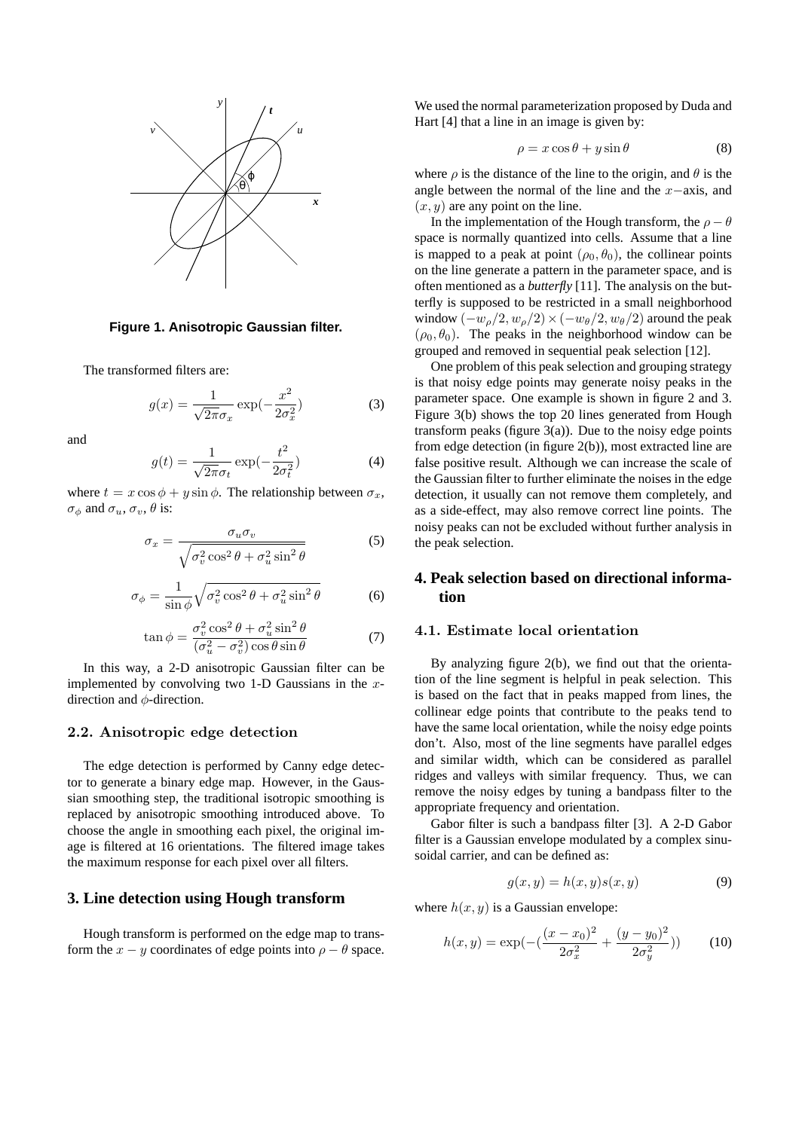

**Figure 1. Anisotropic Gaussian filter.**

The transformed filters are:

$$
g(x) = \frac{1}{\sqrt{2\pi}\sigma_x} \exp(-\frac{x^2}{2\sigma_x^2})
$$
 (3)

and

$$
g(t) = \frac{1}{\sqrt{2\pi}\sigma_t} \exp(-\frac{t^2}{2\sigma_t^2})
$$
 (4)

where  $t = x \cos \phi + y \sin \phi$ . The relationship between  $\sigma_x$ ,  $\sigma_{\phi}$  and  $\sigma_{u}, \sigma_{v}, \theta$  is:

$$
\sigma_x = \frac{\sigma_u \sigma_v}{\sqrt{\sigma_v^2 \cos^2 \theta + \sigma_u^2 \sin^2 \theta}} \tag{5}
$$

$$
\sigma_{\phi} = \frac{1}{\sin \phi} \sqrt{\sigma_v^2 \cos^2 \theta + \sigma_u^2 \sin^2 \theta}
$$
 (6)

$$
\tan \phi = \frac{\sigma_v^2 \cos^2 \theta + \sigma_u^2 \sin^2 \theta}{(\sigma_u^2 - \sigma_v^2) \cos \theta \sin \theta} \tag{7}
$$

In this way, a 2-D anisotropic Gaussian filter can be implemented by convolving two 1-D Gaussians in the  $x$ direction and  $\phi$ -direction.

## 2.2. Anisotropic edge detection

The edge detection is performed by Canny edge detector to generate a binary edge map. However, in the Gaussian smoothing step, the traditional isotropic smoothing is replaced by anisotropic smoothing introduced above. To choose the angle in smoothing each pixel, the original image is filtered at 16 orientations. The filtered image takes the maximum response for each pixel over all filters.

## **3. Line detection using Hough transform**

Hough transform is performed on the edge map to transform the  $x - y$  coordinates of edge points into  $\rho - \theta$  space. We used the normal parameterization proposed by Duda and Hart [4] that a line in an image is given by:

$$
\rho = x \cos \theta + y \sin \theta \tag{8}
$$

where  $\rho$  is the distance of the line to the origin, and  $\theta$  is the angle between the normal of the line and the x−axis, and  $(x, y)$  are any point on the line.

In the implementation of the Hough transform, the  $\rho - \theta$ space is normally quantized into cells. Assume that a line is mapped to a peak at point  $(\rho_0, \theta_0)$ , the collinear points on the line generate a pattern in the parameter space, and is often mentioned as a *butterfly* [11]. The analysis on the butterfly is supposed to be restricted in a small neighborhood window  $(-w_{\rho}/2, w_{\rho}/2) \times (-w_{\theta}/2, w_{\theta}/2)$  around the peak  $(\rho_0, \theta_0)$ . The peaks in the neighborhood window can be grouped and removed in sequential peak selection [12].

One problem of this peak selection and grouping strategy is that noisy edge points may generate noisy peaks in the parameter space. One example is shown in figure 2 and 3. Figure 3(b) shows the top 20 lines generated from Hough transform peaks (figure  $3(a)$ ). Due to the noisy edge points from edge detection (in figure 2(b)), most extracted line are false positive result. Although we can increase the scale of the Gaussian filter to further eliminate the noises in the edge detection, it usually can not remove them completely, and as a side-effect, may also remove correct line points. The noisy peaks can not be excluded without further analysis in the peak selection.

## **4. Peak selection based on directional information**

#### 4.1. Estimate local orientation

By analyzing figure 2(b), we find out that the orientation of the line segment is helpful in peak selection. This is based on the fact that in peaks mapped from lines, the collinear edge points that contribute to the peaks tend to have the same local orientation, while the noisy edge points don't. Also, most of the line segments have parallel edges and similar width, which can be considered as parallel ridges and valleys with similar frequency. Thus, we can remove the noisy edges by tuning a bandpass filter to the appropriate frequency and orientation.

Gabor filter is such a bandpass filter [3]. A 2-D Gabor filter is a Gaussian envelope modulated by a complex sinusoidal carrier, and can be defined as:

$$
g(x, y) = h(x, y)s(x, y)
$$
\n(9)

where  $h(x, y)$  is a Gaussian envelope:

$$
h(x,y) = \exp(-\left(\frac{(x-x_0)^2}{2\sigma_x^2} + \frac{(y-y_0)^2}{2\sigma_y^2}\right))
$$
 (10)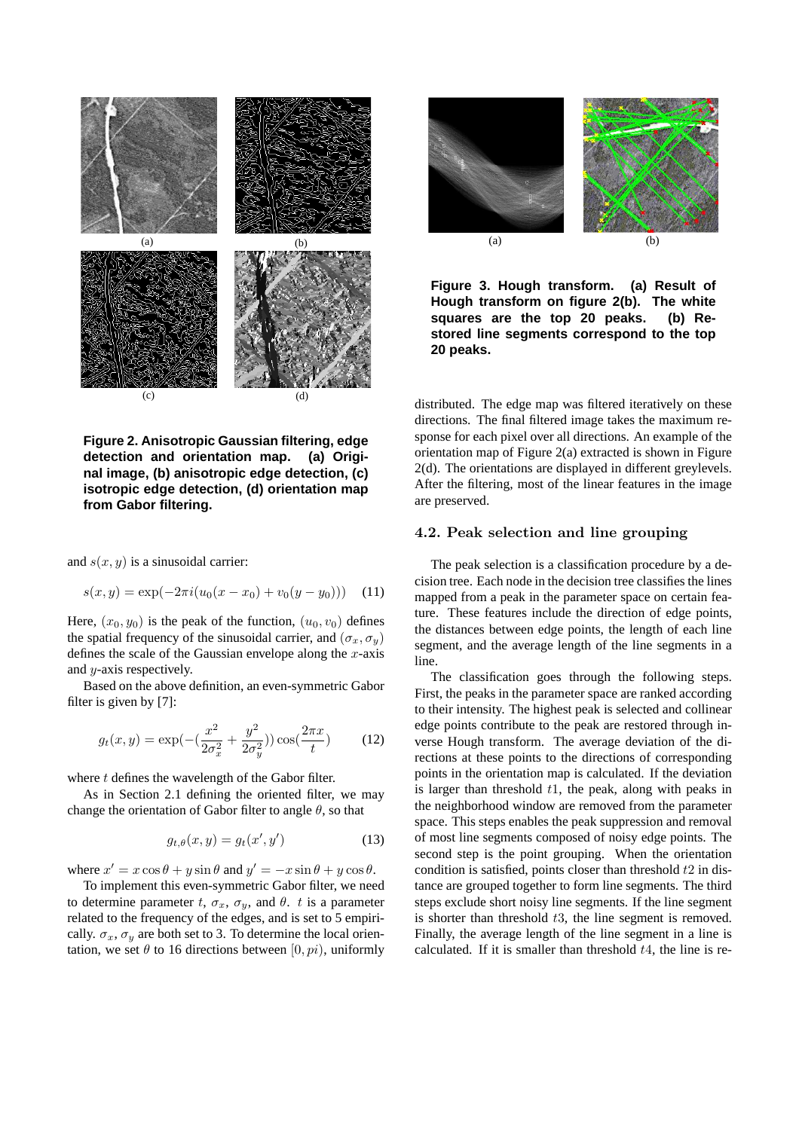

**Figure 2. Anisotropic Gaussian filtering, edge detection and orientation map. (a) Original image, (b) anisotropic edge detection, (c) isotropic edge detection, (d) orientation map from Gabor filtering.**

and  $s(x, y)$  is a sinusoidal carrier:

$$
s(x, y) = \exp(-2\pi i (u_0(x - x_0) + v_0(y - y_0))) \quad (11)
$$

Here,  $(x_0, y_0)$  is the peak of the function,  $(u_0, v_0)$  defines the spatial frequency of the sinusoidal carrier, and  $(\sigma_x, \sigma_y)$ defines the scale of the Gaussian envelope along the  $x$ -axis and  $y$ -axis respectively.

Based on the above definition, an even-symmetric Gabor filter is given by [7]:

$$
g_t(x,y) = \exp(-\left(\frac{x^2}{2\sigma_x^2} + \frac{y^2}{2\sigma_y^2}\right))\cos(\frac{2\pi x}{t})\tag{12}
$$

where  $t$  defines the wavelength of the Gabor filter.

As in Section 2.1 defining the oriented filter, we may change the orientation of Gabor filter to angle  $\theta$ , so that

$$
g_{t,\theta}(x,y) = g_t(x',y')\tag{13}
$$

where  $x' = x \cos \theta + y \sin \theta$  and  $y' = -x \sin \theta + y \cos \theta$ .

To implement this even-symmetric Gabor filter, we need to determine parameter t,  $\sigma_x$ ,  $\sigma_y$ , and  $\theta$ . t is a parameter related to the frequency of the edges, and is set to 5 empirically.  $\sigma_x$ ,  $\sigma_y$  are both set to 3. To determine the local orientation, we set  $\theta$  to 16 directions between  $[0, pi)$ , uniformly



**Figure 3. Hough transform. (a) Result of Hough transform on figure 2(b). The white squares are the top 20 peaks. (b) Restored line segments correspond to the top 20 peaks.**

distributed. The edge map was filtered iteratively on these directions. The final filtered image takes the maximum response for each pixel over all directions. An example of the orientation map of Figure 2(a) extracted is shown in Figure 2(d). The orientations are displayed in different greylevels. After the filtering, most of the linear features in the image are preserved.

#### 4.2. Peak selection and line grouping

The peak selection is a classification procedure by a decision tree. Each node in the decision tree classifies the lines mapped from a peak in the parameter space on certain feature. These features include the direction of edge points, the distances between edge points, the length of each line segment, and the average length of the line segments in a line.

The classification goes through the following steps. First, the peaks in the parameter space are ranked according to their intensity. The highest peak is selected and collinear edge points contribute to the peak are restored through inverse Hough transform. The average deviation of the directions at these points to the directions of corresponding points in the orientation map is calculated. If the deviation is larger than threshold  $t_1$ , the peak, along with peaks in the neighborhood window are removed from the parameter space. This steps enables the peak suppression and removal of most line segments composed of noisy edge points. The second step is the point grouping. When the orientation condition is satisfied, points closer than threshold  $t2$  in distance are grouped together to form line segments. The third steps exclude short noisy line segments. If the line segment is shorter than threshold  $t3$ , the line segment is removed. Finally, the average length of the line segment in a line is calculated. If it is smaller than threshold  $t<sub>4</sub>$ , the line is re-